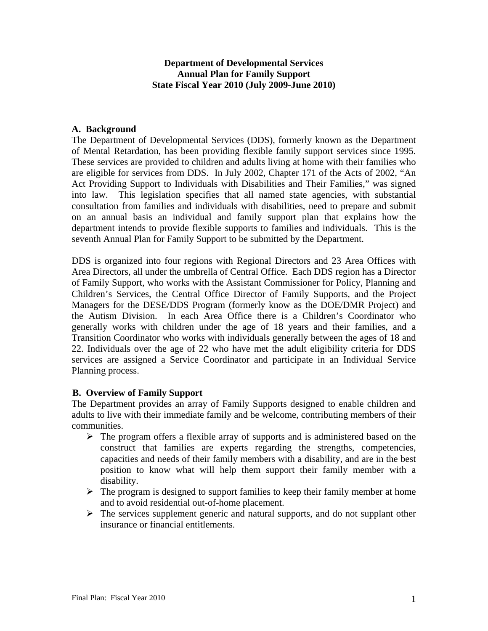## **Department of Developmental Services Annual Plan for Family Support State Fiscal Year 2010 (July 2009-June 2010)**

### **A. Background**

The Department of Developmental Services (DDS), formerly known as the Department of Mental Retardation, has been providing flexible family support services since 1995. These services are provided to children and adults living at home with their families who are eligible for services from DDS. In July 2002, Chapter 171 of the Acts of 2002, "An Act Providing Support to Individuals with Disabilities and Their Families," was signed into law. This legislation specifies that all named state agencies, with substantial consultation from families and individuals with disabilities, need to prepare and submit on an annual basis an individual and family support plan that explains how the department intends to provide flexible supports to families and individuals. This is the seventh Annual Plan for Family Support to be submitted by the Department.

DDS is organized into four regions with Regional Directors and 23 Area Offices with Area Directors, all under the umbrella of Central Office. Each DDS region has a Director of Family Support, who works with the Assistant Commissioner for Policy, Planning and Children's Services, the Central Office Director of Family Supports, and the Project Managers for the DESE/DDS Program (formerly know as the DOE/DMR Project) and the Autism Division. In each Area Office there is a Children's Coordinator who generally works with children under the age of 18 years and their families, and a Transition Coordinator who works with individuals generally between the ages of 18 and 22. Individuals over the age of 22 who have met the adult eligibility criteria for DDS services are assigned a Service Coordinator and participate in an Individual Service Planning process.

### **B. Overview of Family Support**

The Department provides an array of Family Supports designed to enable children and adults to live with their immediate family and be welcome, contributing members of their communities.

- $\triangleright$  The program offers a flexible array of supports and is administered based on the construct that families are experts regarding the strengths, competencies, capacities and needs of their family members with a disability, and are in the best position to know what will help them support their family member with a disability.
- $\triangleright$  The program is designed to support families to keep their family member at home and to avoid residential out-of-home placement.
- $\triangleright$  The services supplement generic and natural supports, and do not supplant other insurance or financial entitlements.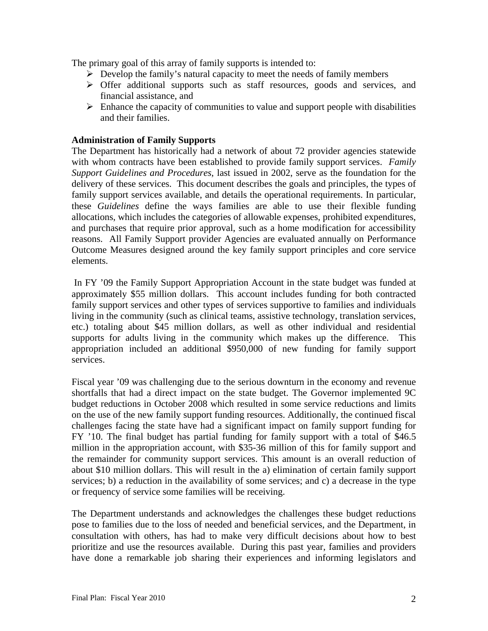The primary goal of this array of family supports is intended to:

- $\triangleright$  Develop the family's natural capacity to meet the needs of family members
- $\triangleright$  Offer additional supports such as staff resources, goods and services, and financial assistance, and
- $\triangleright$  Enhance the capacity of communities to value and support people with disabilities and their families.

## **Administration of Family Supports**

The Department has historically had a network of about 72 provider agencies statewide with whom contracts have been established to provide family support services. *Family Support Guidelines and Procedures*, last issued in 2002, serve as the foundation for the delivery of these services. This document describes the goals and principles, the types of family support services available, and details the operational requirements. In particular, these *Guidelines* define the ways families are able to use their flexible funding allocations, which includes the categories of allowable expenses, prohibited expenditures, and purchases that require prior approval, such as a home modification for accessibility reasons. All Family Support provider Agencies are evaluated annually on Performance Outcome Measures designed around the key family support principles and core service elements.

In FY '09 the Family Support Appropriation Account in the state budget was funded at approximately \$55 million dollars. This account includes funding for both contracted family support services and other types of services supportive to families and individuals living in the community (such as clinical teams, assistive technology, translation services, etc.) totaling about \$45 million dollars, as well as other individual and residential supports for adults living in the community which makes up the difference. This appropriation included an additional \$950,000 of new funding for family support services.

Fiscal year '09 was challenging due to the serious downturn in the economy and revenue shortfalls that had a direct impact on the state budget. The Governor implemented 9C budget reductions in October 2008 which resulted in some service reductions and limits on the use of the new family support funding resources. Additionally, the continued fiscal challenges facing the state have had a significant impact on family support funding for FY '10. The final budget has partial funding for family support with a total of \$46.5 million in the appropriation account, with \$35-36 million of this for family support and the remainder for community support services. This amount is an overall reduction of about \$10 million dollars. This will result in the a) elimination of certain family support services; b) a reduction in the availability of some services; and c) a decrease in the type or frequency of service some families will be receiving.

The Department understands and acknowledges the challenges these budget reductions pose to families due to the loss of needed and beneficial services, and the Department, in consultation with others, has had to make very difficult decisions about how to best prioritize and use the resources available. During this past year, families and providers have done a remarkable job sharing their experiences and informing legislators and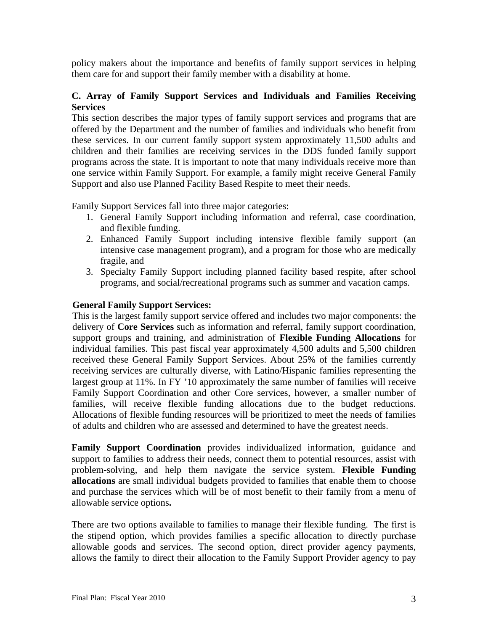policy makers about the importance and benefits of family support services in helping them care for and support their family member with a disability at home.

## **C. Array of Family Support Services and Individuals and Families Receiving Services**

This section describes the major types of family support services and programs that are offered by the Department and the number of families and individuals who benefit from these services. In our current family support system approximately 11,500 adults and children and their families are receiving services in the DDS funded family support programs across the state. It is important to note that many individuals receive more than one service within Family Support. For example, a family might receive General Family Support and also use Planned Facility Based Respite to meet their needs.

Family Support Services fall into three major categories:

- 1. General Family Support including information and referral, case coordination, and flexible funding.
- 2. Enhanced Family Support including intensive flexible family support (an intensive case management program), and a program for those who are medically fragile, and
- 3. Specialty Family Support including planned facility based respite, after school programs, and social/recreational programs such as summer and vacation camps.

## **General Family Support Services:**

This is the largest family support service offered and includes two major components: the delivery of **Core Services** such as information and referral, family support coordination, support groups and training, and administration of **Flexible Funding Allocations** for individual families. This past fiscal year approximately 4,500 adults and 5,500 children received these General Family Support Services. About 25% of the families currently receiving services are culturally diverse, with Latino/Hispanic families representing the largest group at 11%. In FY '10 approximately the same number of families will receive Family Support Coordination and other Core services, however, a smaller number of families, will receive flexible funding allocations due to the budget reductions. Allocations of flexible funding resources will be prioritized to meet the needs of families of adults and children who are assessed and determined to have the greatest needs.

**Family Support Coordination** provides individualized information, guidance and support to families to address their needs, connect them to potential resources, assist with problem-solving, and help them navigate the service system. **Flexible Funding allocations** are small individual budgets provided to families that enable them to choose and purchase the services which will be of most benefit to their family from a menu of allowable service options**.**

There are two options available to families to manage their flexible funding. The first is the stipend option, which provides families a specific allocation to directly purchase allowable goods and services. The second option, direct provider agency payments, allows the family to direct their allocation to the Family Support Provider agency to pay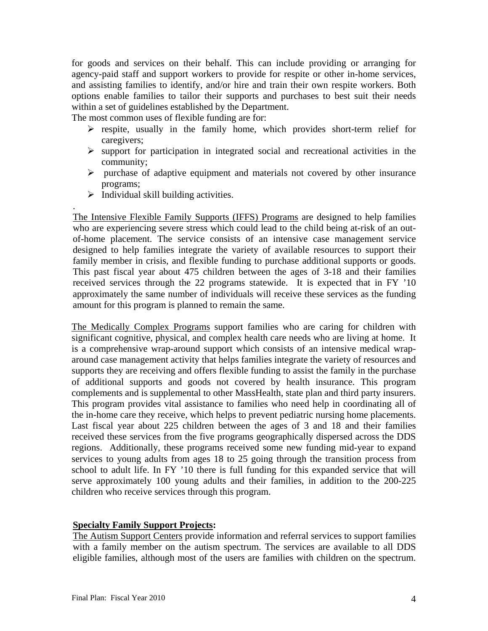for goods and services on their behalf. This can include providing or arranging for agency-paid staff and support workers to provide for respite or other in-home services, and assisting families to identify, and/or hire and train their own respite workers. Both options enable families to tailor their supports and purchases to best suit their needs within a set of guidelines established by the Department.

The most common uses of flexible funding are for:

- $\triangleright$  respite, usually in the family home, which provides short-term relief for caregivers;
- $\triangleright$  support for participation in integrated social and recreational activities in the community;
- $\triangleright$  purchase of adaptive equipment and materials not covered by other insurance programs;
- $\triangleright$  Individual skill building activities.

.

The Intensive Flexible Family Supports (IFFS) Programs are designed to help families who are experiencing severe stress which could lead to the child being at-risk of an outof-home placement. The service consists of an intensive case management service designed to help families integrate the variety of available resources to support their family member in crisis, and flexible funding to purchase additional supports or goods. This past fiscal year about 475 children between the ages of 3-18 and their families received services through the 22 programs statewide. It is expected that in FY '10 approximately the same number of individuals will receive these services as the funding amount for this program is planned to remain the same.

The Medically Complex Programs support families who are caring for children with significant cognitive, physical, and complex health care needs who are living at home. It is a comprehensive wrap-around support which consists of an intensive medical wraparound case management activity that helps families integrate the variety of resources and supports they are receiving and offers flexible funding to assist the family in the purchase of additional supports and goods not covered by health insurance. This program complements and is supplemental to other MassHealth, state plan and third party insurers. This program provides vital assistance to families who need help in coordinating all of the in-home care they receive, which helps to prevent pediatric nursing home placements. Last fiscal year about 225 children between the ages of 3 and 18 and their families received these services from the five programs geographically dispersed across the DDS regions. Additionally, these programs received some new funding mid-year to expand services to young adults from ages 18 to 25 going through the transition process from school to adult life. In FY '10 there is full funding for this expanded service that will serve approximately 100 young adults and their families, in addition to the 200-225 children who receive services through this program.

### **Specialty Family Support Projects:**

The Autism Support Centers provide information and referral services to support families with a family member on the autism spectrum. The services are available to all DDS eligible families, although most of the users are families with children on the spectrum.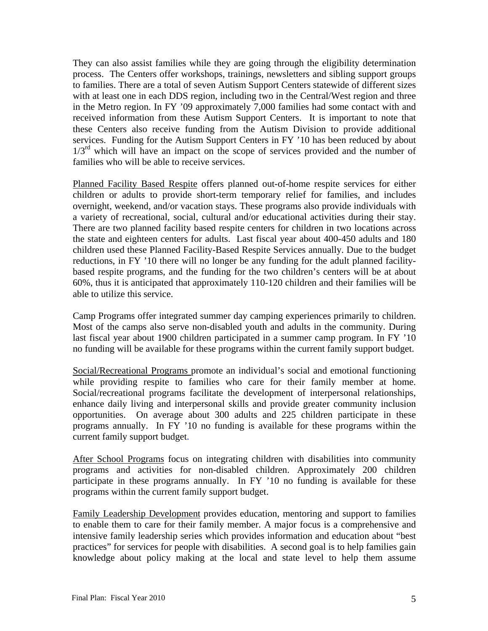They can also assist families while they are going through the eligibility determination process. The Centers offer workshops, trainings, newsletters and sibling support groups to families. There are a total of seven Autism Support Centers statewide of different sizes with at least one in each DDS region, including two in the Central/West region and three in the Metro region. In FY '09 approximately 7,000 families had some contact with and received information from these Autism Support Centers. It is important to note that these Centers also receive funding from the Autism Division to provide additional services. Funding for the Autism Support Centers in FY '10 has been reduced by about  $1/3<sup>rd</sup>$  which will have an impact on the scope of services provided and the number of families who will be able to receive services.

Planned Facility Based Respite offers planned out-of-home respite services for either children or adults to provide short-term temporary relief for families, and includes overnight, weekend, and/or vacation stays. These programs also provide individuals with a variety of recreational, social, cultural and/or educational activities during their stay. There are two planned facility based respite centers for children in two locations across the state and eighteen centers for adults. Last fiscal year about 400-450 adults and 180 children used these Planned Facility-Based Respite Services annually. Due to the budget reductions, in FY '10 there will no longer be any funding for the adult planned facilitybased respite programs, and the funding for the two children's centers will be at about 60%, thus it is anticipated that approximately 110-120 children and their families will be able to utilize this service.

Camp Programs offer integrated summer day camping experiences primarily to children. Most of the camps also serve non-disabled youth and adults in the community. During last fiscal year about 1900 children participated in a summer camp program. In FY '10 no funding will be available for these programs within the current family support budget.

Social/Recreational Programs promote an individual's social and emotional functioning while providing respite to families who care for their family member at home. Social/recreational programs facilitate the development of interpersonal relationships, enhance daily living and interpersonal skills and provide greater community inclusion opportunities. On average about 300 adults and 225 children participate in these programs annually. In FY '10 no funding is available for these programs within the current family support budget.

After School Programs focus on integrating children with disabilities into community programs and activities for non-disabled children. Approximately 200 children participate in these programs annually. In FY '10 no funding is available for these programs within the current family support budget.

Family Leadership Development provides education, mentoring and support to families to enable them to care for their family member. A major focus is a comprehensive and intensive family leadership series which provides information and education about "best practices" for services for people with disabilities. A second goal is to help families gain knowledge about policy making at the local and state level to help them assume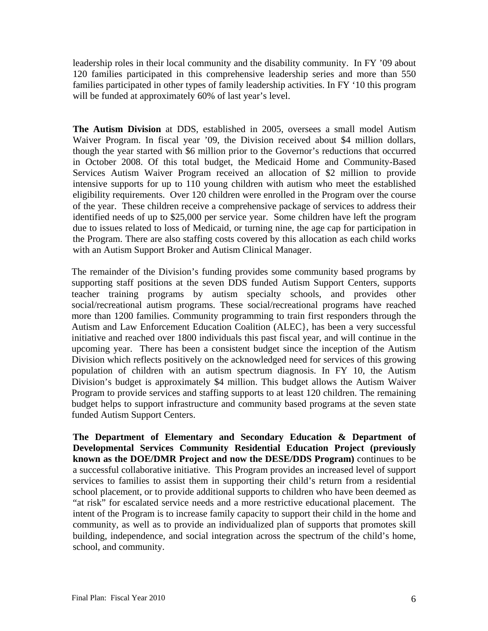leadership roles in their local community and the disability community. In FY '09 about 120 families participated in this comprehensive leadership series and more than 550 families participated in other types of family leadership activities. In FY '10 this program will be funded at approximately 60% of last year's level.

**The Autism Division** at DDS, established in 2005, oversees a small model Autism Waiver Program. In fiscal year '09, the Division received about \$4 million dollars, though the year started with \$6 million prior to the Governor's reductions that occurred in October 2008. Of this total budget, the Medicaid Home and Community-Based Services Autism Waiver Program received an allocation of \$2 million to provide intensive supports for up to 110 young children with autism who meet the established eligibility requirements. Over 120 children were enrolled in the Program over the course of the year. These children receive a comprehensive package of services to address their identified needs of up to \$25,000 per service year. Some children have left the program due to issues related to loss of Medicaid, or turning nine, the age cap for participation in the Program. There are also staffing costs covered by this allocation as each child works with an Autism Support Broker and Autism Clinical Manager.

The remainder of the Division's funding provides some community based programs by supporting staff positions at the seven DDS funded Autism Support Centers, supports teacher training programs by autism specialty schools, and provides other social/recreational autism programs. These social/recreational programs have reached more than 1200 families. Community programming to train first responders through the Autism and Law Enforcement Education Coalition (ALEC}, has been a very successful initiative and reached over 1800 individuals this past fiscal year, and will continue in the upcoming year. There has been a consistent budget since the inception of the Autism Division which reflects positively on the acknowledged need for services of this growing population of children with an autism spectrum diagnosis. In FY 10, the Autism Division's budget is approximately \$4 million. This budget allows the Autism Waiver Program to provide services and staffing supports to at least 120 children. The remaining budget helps to support infrastructure and community based programs at the seven state funded Autism Support Centers.

**The Department of Elementary and Secondary Education & Department of Developmental Services Community Residential Education Project (previously known as the DOE/DMR Project and now the DESE/DDS Program)** continues to be a successful collaborative initiative. This Program provides an increased level of support services to families to assist them in supporting their child's return from a residential school placement, or to provide additional supports to children who have been deemed as "at risk" for escalated service needs and a more restrictive educational placement. The intent of the Program is to increase family capacity to support their child in the home and community, as well as to provide an individualized plan of supports that promotes skill building, independence, and social integration across the spectrum of the child's home, school, and community.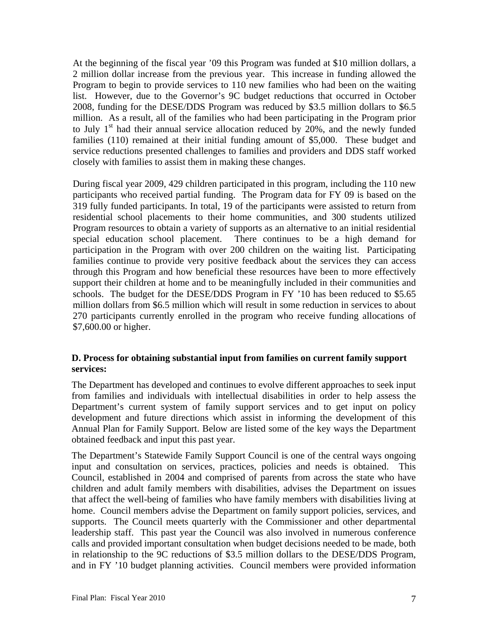At the beginning of the fiscal year '09 this Program was funded at \$10 million dollars, a 2 million dollar increase from the previous year. This increase in funding allowed the Program to begin to provide services to 110 new families who had been on the waiting list. However, due to the Governor's 9C budget reductions that occurred in October 2008, funding for the DESE/DDS Program was reduced by \$3.5 million dollars to \$6.5 million. As a result, all of the families who had been participating in the Program prior to July  $1<sup>st</sup>$  had their annual service allocation reduced by 20%, and the newly funded families (110) remained at their initial funding amount of \$5,000. These budget and service reductions presented challenges to families and providers and DDS staff worked closely with families to assist them in making these changes.

During fiscal year 2009, 429 children participated in this program, including the 110 new participants who received partial funding. The Program data for FY 09 is based on the 319 fully funded participants. In total, 19 of the participants were assisted to return from residential school placements to their home communities, and 300 students utilized Program resources to obtain a variety of supports as an alternative to an initial residential special education school placement. There continues to be a high demand for participation in the Program with over 200 children on the waiting list. Participating families continue to provide very positive feedback about the services they can access through this Program and how beneficial these resources have been to more effectively support their children at home and to be meaningfully included in their communities and schools. The budget for the DESE/DDS Program in FY '10 has been reduced to \$5.65 million dollars from \$6.5 million which will result in some reduction in services to about 270 participants currently enrolled in the program who receive funding allocations of \$7,600.00 or higher.

## **D. Process for obtaining substantial input from families on current family support services:**

The Department has developed and continues to evolve different approaches to seek input from families and individuals with intellectual disabilities in order to help assess the Department's current system of family support services and to get input on policy development and future directions which assist in informing the development of this Annual Plan for Family Support. Below are listed some of the key ways the Department obtained feedback and input this past year.

The Department's Statewide Family Support Council is one of the central ways ongoing input and consultation on services, practices, policies and needs is obtained. This Council, established in 2004 and comprised of parents from across the state who have children and adult family members with disabilities, advises the Department on issues that affect the well-being of families who have family members with disabilities living at home. Council members advise the Department on family support policies, services, and supports. The Council meets quarterly with the Commissioner and other departmental leadership staff. This past year the Council was also involved in numerous conference calls and provided important consultation when budget decisions needed to be made, both in relationship to the 9C reductions of \$3.5 million dollars to the DESE/DDS Program, and in FY '10 budget planning activities. Council members were provided information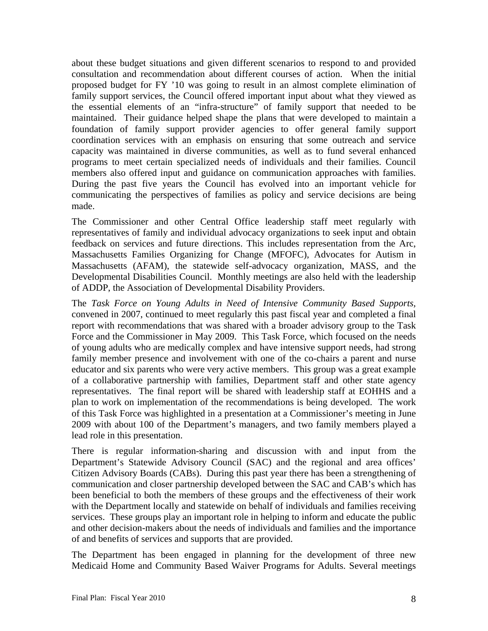about these budget situations and given different scenarios to respond to and provided consultation and recommendation about different courses of action. When the initial proposed budget for FY '10 was going to result in an almost complete elimination of family support services, the Council offered important input about what they viewed as the essential elements of an "infra-structure" of family support that needed to be maintained. Their guidance helped shape the plans that were developed to maintain a foundation of family support provider agencies to offer general family support coordination services with an emphasis on ensuring that some outreach and service capacity was maintained in diverse communities, as well as to fund several enhanced programs to meet certain specialized needs of individuals and their families. Council members also offered input and guidance on communication approaches with families. During the past five years the Council has evolved into an important vehicle for communicating the perspectives of families as policy and service decisions are being made.

The Commissioner and other Central Office leadership staff meet regularly with representatives of family and individual advocacy organizations to seek input and obtain feedback on services and future directions. This includes representation from the Arc, Massachusetts Families Organizing for Change (MFOFC), Advocates for Autism in Massachusetts (AFAM), the statewide self-advocacy organization, MASS, and the Developmental Disabilities Council. Monthly meetings are also held with the leadership of ADDP, the Association of Developmental Disability Providers.

The *Task Force on Young Adults in Need of Intensive Community Based Supports,* convened in 2007, continued to meet regularly this past fiscal year and completed a final report with recommendations that was shared with a broader advisory group to the Task Force and the Commissioner in May 2009. This Task Force, which focused on the needs of young adults who are medically complex and have intensive support needs, had strong family member presence and involvement with one of the co-chairs a parent and nurse educator and six parents who were very active members. This group was a great example of a collaborative partnership with families, Department staff and other state agency representatives. The final report will be shared with leadership staff at EOHHS and a plan to work on implementation of the recommendations is being developed. The work of this Task Force was highlighted in a presentation at a Commissioner's meeting in June 2009 with about 100 of the Department's managers, and two family members played a lead role in this presentation.

There is regular information-sharing and discussion with and input from the Department's Statewide Advisory Council (SAC) and the regional and area offices' Citizen Advisory Boards (CABs). During this past year there has been a strengthening of communication and closer partnership developed between the SAC and CAB's which has been beneficial to both the members of these groups and the effectiveness of their work with the Department locally and statewide on behalf of individuals and families receiving services. These groups play an important role in helping to inform and educate the public and other decision-makers about the needs of individuals and families and the importance of and benefits of services and supports that are provided.

The Department has been engaged in planning for the development of three new Medicaid Home and Community Based Waiver Programs for Adults. Several meetings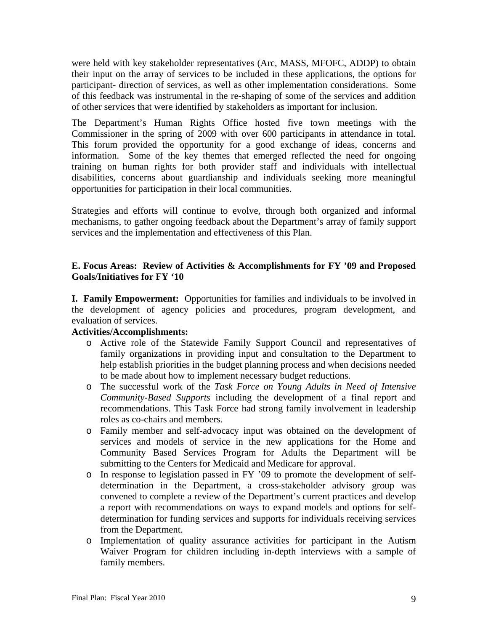were held with key stakeholder representatives (Arc, MASS, MFOFC, ADDP) to obtain their input on the array of services to be included in these applications, the options for participant- direction of services, as well as other implementation considerations. Some of this feedback was instrumental in the re-shaping of some of the services and addition of other services that were identified by stakeholders as important for inclusion.

The Department's Human Rights Office hosted five town meetings with the Commissioner in the spring of 2009 with over 600 participants in attendance in total. This forum provided the opportunity for a good exchange of ideas, concerns and information. Some of the key themes that emerged reflected the need for ongoing training on human rights for both provider staff and individuals with intellectual disabilities, concerns about guardianship and individuals seeking more meaningful opportunities for participation in their local communities.

Strategies and efforts will continue to evolve, through both organized and informal mechanisms, to gather ongoing feedback about the Department's array of family support services and the implementation and effectiveness of this Plan.

## **E. Focus Areas: Review of Activities & Accomplishments for FY '09 and Proposed Goals/Initiatives for FY '10**

**I. Family Empowerment:** Opportunities for families and individuals to be involved in the development of agency policies and procedures, program development, and evaluation of services.

# **Activities/Accomplishments:**

- o Active role of the Statewide Family Support Council and representatives of family organizations in providing input and consultation to the Department to help establish priorities in the budget planning process and when decisions needed to be made about how to implement necessary budget reductions.
- o The successful work of the *Task Force on Young Adults in Need of Intensive Community-Based Supports* including the development of a final report and recommendations. This Task Force had strong family involvement in leadership roles as co-chairs and members.
- o Family member and self-advocacy input was obtained on the development of services and models of service in the new applications for the Home and Community Based Services Program for Adults the Department will be submitting to the Centers for Medicaid and Medicare for approval.
- o In response to legislation passed in FY '09 to promote the development of selfdetermination in the Department, a cross-stakeholder advisory group was convened to complete a review of the Department's current practices and develop a report with recommendations on ways to expand models and options for selfdetermination for funding services and supports for individuals receiving services from the Department.
- o Implementation of quality assurance activities for participant in the Autism Waiver Program for children including in-depth interviews with a sample of family members.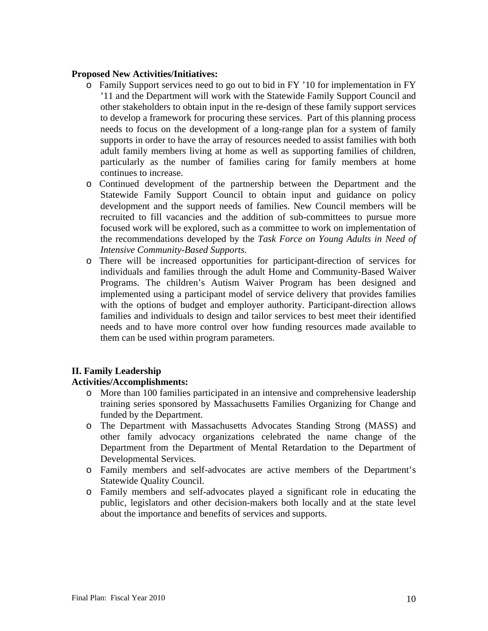### **Proposed New Activities/Initiatives:**

- o Family Support services need to go out to bid in FY '10 for implementation in FY '11 and the Department will work with the Statewide Family Support Council and other stakeholders to obtain input in the re-design of these family support services to develop a framework for procuring these services. Part of this planning process needs to focus on the development of a long-range plan for a system of family supports in order to have the array of resources needed to assist families with both adult family members living at home as well as supporting families of children, particularly as the number of families caring for family members at home continues to increase.
- o Continued development of the partnership between the Department and the Statewide Family Support Council to obtain input and guidance on policy development and the support needs of families. New Council members will be recruited to fill vacancies and the addition of sub-committees to pursue more focused work will be explored, such as a committee to work on implementation of the recommendations developed by the *Task Force on Young Adults in Need of Intensive Community-Based Supports.*
- o There will be increased opportunities for participant-direction of services for individuals and families through the adult Home and Community-Based Waiver Programs. The children's Autism Waiver Program has been designed and implemented using a participant model of service delivery that provides families with the options of budget and employer authority. Participant-direction allows families and individuals to design and tailor services to best meet their identified needs and to have more control over how funding resources made available to them can be used within program parameters.

# **II. Family Leadership**

### **Activities/Accomplishments:**

- o More than 100 families participated in an intensive and comprehensive leadership training series sponsored by Massachusetts Families Organizing for Change and funded by the Department.
- o The Department with Massachusetts Advocates Standing Strong (MASS) and other family advocacy organizations celebrated the name change of the Department from the Department of Mental Retardation to the Department of Developmental Services.
- o Family members and self-advocates are active members of the Department's Statewide Quality Council.
- o Family members and self-advocates played a significant role in educating the public, legislators and other decision-makers both locally and at the state level about the importance and benefits of services and supports.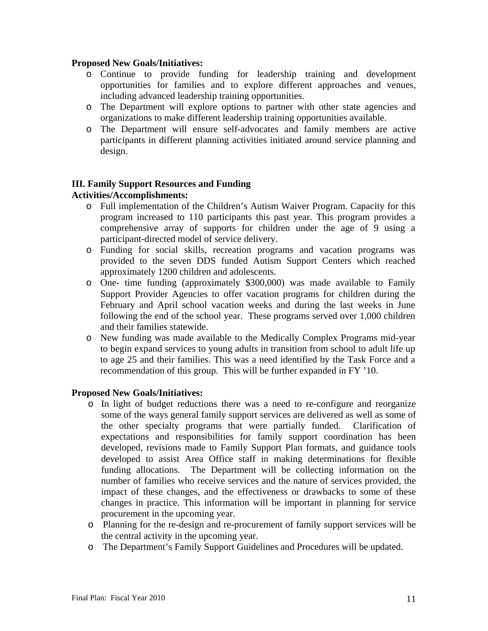#### **Proposed New Goals/Initiatives:**

- o Continue to provide funding for leadership training and development opportunities for families and to explore different approaches and venues, including advanced leadership training opportunities.
- o The Department will explore options to partner with other state agencies and organizations to make different leadership training opportunities available.
- o The Department will ensure self-advocates and family members are active participants in different planning activities initiated around service planning and design.

# **III. Family Support Resources and Funding**

## **Activities/Accomplishments:**

- o Full implementation of the Children's Autism Waiver Program. Capacity for this program increased to 110 participants this past year. This program provides a comprehensive array of supports for children under the age of 9 using a participant-directed model of service delivery.
- o Funding for social skills, recreation programs and vacation programs was provided to the seven DDS funded Autism Support Centers which reached approximately 1200 children and adolescents.
- o One- time funding (approximately \$300,000) was made available to Family Support Provider Agencies to offer vacation programs for children during the February and April school vacation weeks and during the last weeks in June following the end of the school year. These programs served over 1,000 children and their families statewide.
- o New funding was made available to the Medically Complex Programs mid-year to begin expand services to young adults in transition from school to adult life up to age 25 and their families. This was a need identified by the Task Force and a recommendation of this group. This will be further expanded in FY '10.

### **Proposed New Goals/Initiatives:**

- o In light of budget reductions there was a need to re-configure and reorganize some of the ways general family support services are delivered as well as some of the other specialty programs that were partially funded. Clarification of expectations and responsibilities for family support coordination has been developed, revisions made to Family Support Plan formats, and guidance tools developed to assist Area Office staff in making determinations for flexible funding allocations. The Department will be collecting information on the number of families who receive services and the nature of services provided, the impact of these changes, and the effectiveness or drawbacks to some of these changes in practice. This information will be important in planning for service procurement in the upcoming year.
- o Planning for the re-design and re-procurement of family support services will be the central activity in the upcoming year.
- o The Department's Family Support Guidelines and Procedures will be updated.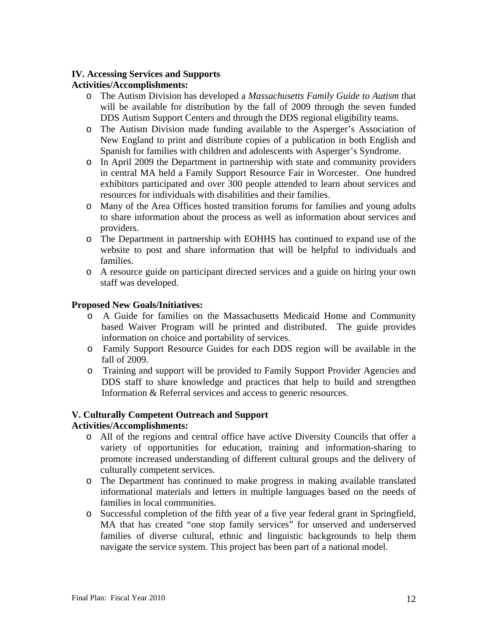## **IV. Accessing Services and Supports**

## **Activities/Accomplishments:**

- o The Autism Division has developed a *Massachusetts Family Guide to Autism* that will be available for distribution by the fall of 2009 through the seven funded DDS Autism Support Centers and through the DDS regional eligibility teams.
- o The Autism Division made funding available to the Asperger's Association of New England to print and distribute copies of a publication in both English and Spanish for families with children and adolescents with Asperger's Syndrome.
- o In April 2009 the Department in partnership with state and community providers in central MA held a Family Support Resource Fair in Worcester. One hundred exhibitors participated and over 300 people attended to learn about services and resources for individuals with disabilities and their families.
- o Many of the Area Offices hosted transition forums for families and young adults to share information about the process as well as information about services and providers.
- o The Department in partnership with EOHHS has continued to expand use of the website to post and share information that will be helpful to individuals and families.
- o A resource guide on participant directed services and a guide on hiring your own staff was developed.

### **Proposed New Goals/Initiatives:**

- o A Guide for families on the Massachusetts Medicaid Home and Community based Waiver Program will be printed and distributed. The guide provides information on choice and portability of services.
- o Family Support Resource Guides for each DDS region will be available in the fall of 2009.
- o Training and support will be provided to Family Support Provider Agencies and DDS staff to share knowledge and practices that help to build and strengthen Information & Referral services and access to generic resources.

### **V. Culturally Competent Outreach and Support**

### **Activities/Accomplishments:**

- o All of the regions and central office have active Diversity Councils that offer a variety of opportunities for education, training and information-sharing to promote increased understanding of different cultural groups and the delivery of culturally competent services.
- o The Department has continued to make progress in making available translated informational materials and letters in multiple languages based on the needs of families in local communities.
- o Successful completion of the fifth year of a five year federal grant in Springfield, MA that has created "one stop family services" for unserved and underserved families of diverse cultural, ethnic and linguistic backgrounds to help them navigate the service system. This project has been part of a national model.